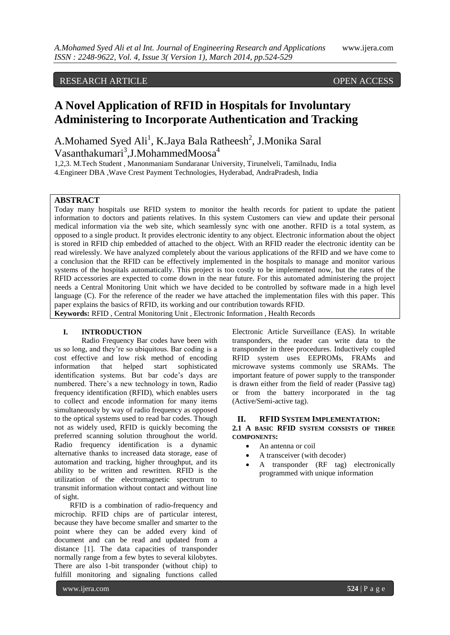# RESEARCH ARTICLE OPEN ACCESS

# **A Novel Application of RFID in Hospitals for Involuntary Administering to Incorporate Authentication and Tracking**

A.Mohamed Syed Ali<sup>1</sup>, K.Jaya Bala Ratheesh<sup>2</sup>, J.Monika Saral Vasanthakumari<sup>3</sup>,J.MohammedMoosa<sup>4</sup>

1,2,3. M.Tech Student , Manonmaniam Sundaranar University, Tirunelveli, Tamilnadu, India 4.Engineer DBA ,Wave Crest Payment Technologies, Hyderabad, AndraPradesh, India

# **ABSTRACT**

Today many hospitals use RFID system to monitor the health records for patient to update the patient information to doctors and patients relatives. In this system Customers can view and update their personal medical information via the web site, which seamlessly sync with one another. RFID is a total system, as opposed to a single product. It provides electronic identity to any object. Electronic information about the object is stored in RFID chip embedded of attached to the object. With an RFID reader the electronic identity can be read wirelessly. We have analyzed completely about the various applications of the RFID and we have come to a conclusion that the RFID can be effectively implemented in the hospitals to manage and monitor various systems of the hospitals automatically. This project is too costly to be implemented now, but the rates of the RFID accessories are expected to come down in the near future. For this automated administering the project needs a Central Monitoring Unit which we have decided to be controlled by software made in a high level language (C). For the reference of the reader we have attached the implementation files with this paper. This paper explains the basics of RFID, its working and our contribution towards RFID.

**Keywords:** RFID , Central Monitoring Unit , Electronic Information , Health Records

#### **I. INTRODUCTION**

Radio Frequency Bar codes have been with us so long, and they"re so ubiquitous. Bar coding is a cost effective and low risk method of encoding information that helped start sophisticated identification systems. But bar code"s days are numbered. There"s a new technology in town, Radio frequency identification (RFID), which enables users to collect and encode information for many items simultaneously by way of radio frequency as opposed to the optical systems used to read bar codes. Though not as widely used, RFID is quickly becoming the preferred scanning solution throughout the world. Radio frequency identification is a dynamic alternative thanks to increased data storage, ease of automation and tracking, higher throughput, and its ability to be written and rewritten. RFID is the utilization of the electromagnetic spectrum to transmit information without contact and without line of sight.

RFID is a combination of radio-frequency and microchip. RFID chips are of particular interest, because they have become smaller and smarter to the point where they can be added every kind of document and can be read and updated from a distance [1]. The data capacities of transponder normally range from a few bytes to several kilobytes. There are also 1-bit transponder (without chip) to fulfill monitoring and signaling functions called

Electronic Article Surveillance (EAS). In writable transponders, the reader can write data to the transponder in three procedures. Inductively coupled RFID system uses EEPROMs, FRAMs and microwave systems commonly use SRAMs. The important feature of power supply to the transponder is drawn either from the field of reader (Passive tag) or from the battery incorporated in the tag (Active/Semi-active tag).

#### **II. RFID SYSTEM IMPLEMENTATION:**

**2.1 A BASIC RFID SYSTEM CONSISTS OF THREE COMPONENTS:**

- An antenna or coil
- A transceiver (with decoder)
- A transponder (RF tag) electronically programmed with unique information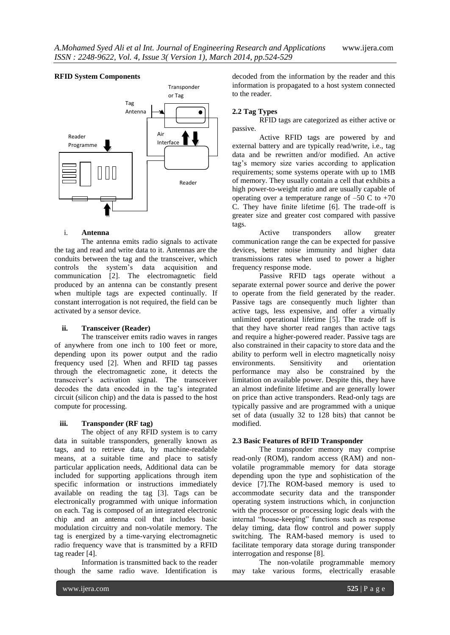

### i. **Antenna**

The antenna emits radio signals to activate the tag and read and write data to it. Antennas are the conduits between the tag and the transceiver, which controls the system"s data acquisition and communication [2]. The electromagnetic field produced by an antenna can be constantly present when multiple tags are expected continually. If constant interrogation is not required, the field can be activated by a sensor device.

### **ii. Transceiver (Reader)**

The transceiver emits radio waves in ranges of anywhere from one inch to 100 feet or more, depending upon its power output and the radio frequency used [2]. When and RFID tag passes through the electromagnetic zone, it detects the transceiver"s activation signal. The transceiver decodes the data encoded in the tag"s integrated circuit (silicon chip) and the data is passed to the host compute for processing.

# **iii. Transponder (RF tag)**

The object of any RFID system is to carry data in suitable transponders, generally known as tags, and to retrieve data, by machine-readable means, at a suitable time and place to satisfy particular application needs, Additional data can be included for supporting applications through item specific information or instructions immediately available on reading the tag [3]. Tags can be electronically programmed with unique information on each. Tag is composed of an integrated electronic chip and an antenna coil that includes basic modulation circuitry and non-volatile memory. The tag is energized by a time-varying electromagnetic radio frequency wave that is transmitted by a RFID tag reader [4].

Information is transmitted back to the reader though the same radio wave. Identification is

decoded from the information by the reader and this information is propagated to a host system connected to the reader.

# **2.2 Tag Types**

RFID tags are categorized as either active or passive.

Active RFID tags are powered by and external battery and are typically read/write, i.e., tag data and be rewritten and/or modified. An active tag"s memory size varies according to application requirements; some systems operate with up to 1MB of memory. They usually contain a cell that exhibits a high power-to-weight ratio and are usually capable of operating over a temperature range of  $-50 \text{ C}$  to  $+70$ C. They have finite lifetime [6]. The trade-off is greater size and greater cost compared with passive tags.

Active transponders allow greater communication range the can be expected for passive devices, better noise immunity and higher data transmissions rates when used to power a higher frequency response mode.

Passive RFID tags operate without a separate external power source and derive the power to operate from the field generated by the reader. Passive tags are consequently much lighter than active tags, less expensive, and offer a virtually unlimited operational lifetime [5]. The trade off is that they have shorter read ranges than active tags and require a higher-powered reader. Passive tags are also constrained in their capacity to store data and the ability to perform well in electro magnetically noisy<br>environments. Sensitivity and orientation environments. Sensitivity and performance may also be constrained by the limitation on available power. Despite this, they have an almost indefinite lifetime and are generally lower on price than active transponders. Read-only tags are typically passive and are programmed with a unique set of data (usually 32 to 128 bits) that cannot be modified.

## **2.3 Basic Features of RFID Transponder**

The transponder memory may comprise read-only (ROM), random access (RAM) and nonvolatile programmable memory for data storage depending upon the type and sophistication of the device [7].The ROM-based memory is used to accommodate security data and the transponder operating system instructions which, in conjunction with the processor or processing logic deals with the internal "house-keeping" functions such as response delay timing, data flow control and power supply switching. The RAM-based memory is used to facilitate temporary data storage during transponder interrogation and response [8].

The non-volatile programmable memory may take various forms, electrically erasable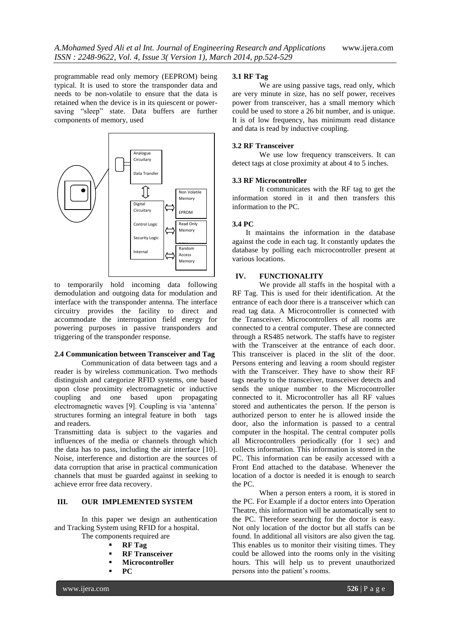programmable read only memory (EEPROM) being typical. It is used to store the transponder data and needs to be non-volatile to ensure that the data is retained when the device is in its quiescent or powersaving "sleep" state. Data buffers are further components of memory, used



to temporarily hold incoming data following demodulation and outgoing data for modulation and **90** interface with the transponder antenna. The interface **80** circuitry provides the facility to direct and **70** accommodate the interrogation field energy for powering purposes in passive transponders and **50** triggering of the transponder response.

# 2.4 Communication between Transceiver and Tag

**100** Communication of data between tags and a reader is by wireless communication. Two methods distinguish and categorize RFID systems, one based upon close proximity electromagnetic or inductive coupling and one based upon propagating electromagnetic waves [9]. Coupling is via "antenna" structures forming an integral feature in both tags and readers.

Transmitting data is subject to the vagaries and influences of the media or channels through which the data has to pass, including the air interface [10]. Noise, interference and distortion are the sources of data corruption that arise in practical communication channels that must be guarded against in seeking to achieve error free data recovery.

### **III. OUR IMPLEMENTED SYSTEM**

In this paper we design an authentication and Tracking System using RFID for a hospital.

- The components required are
	- **RF Tag**
	- **RF Transceiver Microcontroller**
	- **PC**

#### **3.1 RF Tag**

We are using passive tags, read only, which are very minute in size, has no self power, receives power from transceiver, has a small memory which could be used to store a 26 bit number, and is unique. It is of low frequency, has minimum read distance and data is read by inductive coupling.

#### **3.2 RF Transceiver**

We use low frequency transceivers. It can detect tags at close proximity at about 4 to 5 inches.

#### **3.3 RF Microcontroller**

It communicates with the RF tag to get the information stored in it and then transfers this information to the PC.

#### **3.4 PC**

It maintains the information in the database against the code in each tag. It constantly updates the database by polling each microcontroller present at various locations.

# **IV. FUNCTIONALITY**

We provide all staffs in the hospital with a RF Tag. This is used for their identification. At the entrance of each door there is a transceiver which can read tag data. A Microcontroller is connected with the Transceiver. Microcontrollers of all rooms are connected to a central computer. These are connected through a RS485 network. The staffs have to register with the Transceiver at the entrance of each door. This transceiver is placed in the slit of the door. Persons entering and leaving a room should register ods with the Transceiver. They have to show their RF tags nearby to the transceiver, transceiver detects and sends the unique number to the Microcontroller connected to it. Microcontroller has all RF values stored and authenticates the person. If the person is authorized person to enter he is allowed inside the door, also the information is passed to a central computer in the hospital. The central computer polls all Microcontrollers periodically (for 1 sec) and collects information. This information is stored in the PC. This information can be easily accessed with a Front End attached to the database. Whenever the location of a doctor is needed it is enough to search the PC.

> When a person enters a room, it is stored in the PC. For Example if a doctor enters into Operation Theatre, this information will be automatically sent to the PC. Therefore searching for the doctor is easy. Not only location of the doctor but all staffs can be found. In additional all visitors are also given the tag. This enables us to monitor their visiting times. They could be allowed into the rooms only in the visiting hours. This will help us to prevent unauthorized persons into the patient"s rooms.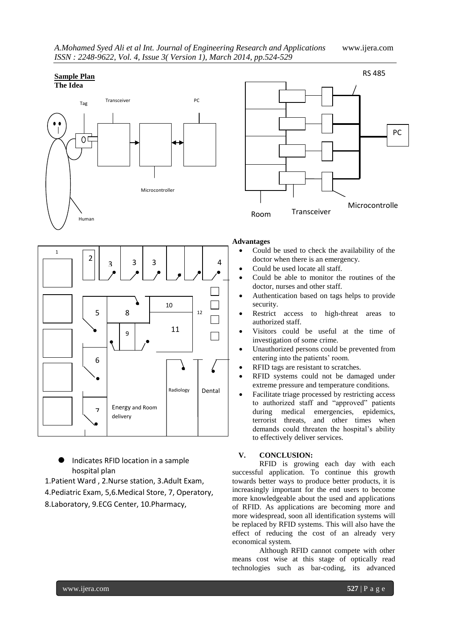| A.Mohamed Syed Ali et al Int. Journal of Engineering Research and Applications |  |
|--------------------------------------------------------------------------------|--|
| ISSN: 2248-9622, Vol. 4, Issue 3(Version 1), March 2014, pp.524-529            |  |

*A.Mohamed Syed Ali et al Int. Journal of Engineering Research and Applications* www.ijera.com

# **Sample Plan**





- Indicates RFID location in a sample hospital plan
- 1.Patient Ward , 2.Nurse station, 3.Adult Exam,
- 4.Pediatric Exam, 5,6.Medical Store, 7, Operatory,
- 8.Laboratory, 9.ECG Center, 10.Pharmacy,



# **Advantages**

- Could be used to check the availability of the doctor when there is an emergency.
- Could be used locate all staff.
- Could be able to monitor the routines of the doctor, nurses and other staff.
- Authentication based on tags helps to provide security.
- Restrict access to high-threat areas to authorized staff.
- Visitors could be useful at the time of investigation of some crime.
- Unauthorized persons could be prevented from entering into the patients' room.
- RFID tags are resistant to scratches.
- RFID systems could not be damaged under extreme pressure and temperature conditions.
- Facilitate triage processed by restricting access to authorized staff and "approved" patients during medical emergencies, epidemics, terrorist threats, and other times when demands could threaten the hospital's ability to effectively deliver services.

## **V. CONCLUSION:**

RFID is growing each day with each successful application. To continue this growth towards better ways to produce better products, it is increasingly important for the end users to become more knowledgeable about the used and applications of RFID. As applications are becoming more and more widespread, soon all identification systems will be replaced by RFID systems. This will also have the effect of reducing the cost of an already very economical system.

Although RFID cannot compete with other means cost wise at this stage of optically read technologies such as bar-coding, its advanced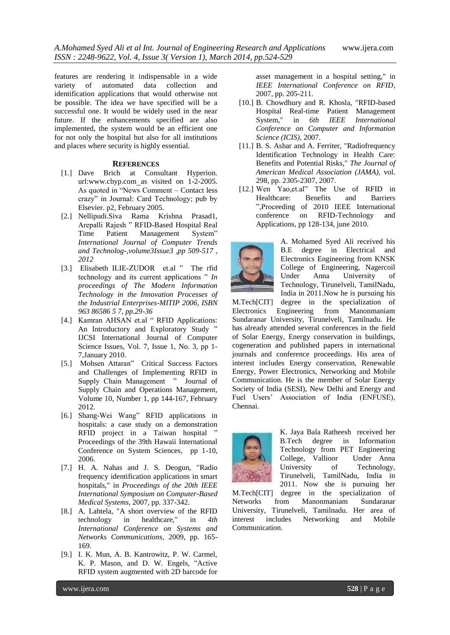features are rendering it indispensable in a wide variety of automated data collection and identification applications that would otherwise not be possible. The idea we have specified will be a successful one. It would be widely used in the near future. If the enhancements specified are also implemented, the system would be an efficient one for not only the hospital but also for all institutions and places where security is highly essential.

#### **REFERENCES**

- [1.] Dave Brich at Consultant Hyperion. url:www.chyp.com as visited on 1-2-2005. As quoted in "News Comment – Contact less crazy" in Journal: Card Technology; pub by Elsevier. p2, February 2005.
- [2.] Nellipudi.Siva Rama Krishna Prasad1, Arepalli Rajesh " RFID-Based Hospital Real Time Patient Management System" *International Journal of Computer Trends and Technolog-,volume3Issue3 ,pp 509-517 , 2012*
- [3.] Elisabeth ILIE-ZUDOR et.al " The rfid technology and its current applications " *In proceedings of The Modern Information Technology in the Innovation Processes of the Industrial Enterprises-MITIP 2006, ISBN 963 86586 5 7, pp.29-36*
- [4.] Kamran AHSAN et.al " RFID Applications: An Introductory and Exploratory Study " IJCSI International Journal of Computer Science Issues, Vol. 7, Issue 1, No. 3, pp 1- 7,January 2010.
- [5.] Mohsen Attaran" Critical Success Factors and Challenges of Implementing RFID in Supply Chain Management " Journal of Supply Chain and Operations Management, Volume 10, Number 1, pp 144-167, February 2012.
- [6.] Shang-Wei Wang" RFID applications in hospitals: a case study on a demonstration RFID project in a Taiwan hospital " Proceedings of the 39th Hawaii International Conference on System Sciences, pp 1-10, 2006.
- [7.] H. A. Nahas and J. S. Deogun, "Radio frequency identification applications in smart hospitals," in *Proceedings of the 20th IEEE International Symposium on Computer-Based Medical Systems*, 2007, pp. 337-342.
- [8.] A. Lahtela, "A short overview of the RFID technology in healthcare," in *4th International Conference on Systems and Networks Communications*, 2009, pp. 165- 169.
- [9.] I. K. Mun, A. B. Kantrowitz, P. W. Carmel, K. P. Mason, and D. W. Engels, "Active RFID system augmented with 2D barcode for

asset management in a hospital setting," in *IEEE International Conference on RFID*, 2007, pp. 205-211.

- [10.] B. Chowdhury and R. Khosla, "RFID-based Hospital Real-time Patient Management System," in *6th IEEE International Conference on Computer and Information Science (ICIS)*, 2007.
- [11.] B. S. Ashar and A. Ferriter, "Radiofrequency" Identification Technology in Health Care: Benefits and Potential Risks," *The Journal of American Medical Association (JAMA),* vol. 298, pp. 2305-2307, 2007.
- [12.] Wen Yao,et.al" The Use of RFID in Healthcare: Benefits and Barriers ",Proceeding of 2010 IEEE International conference on RFID-Technology and Applications, pp 128-134, june 2010.



A. Mohamed Syed Ali received his B.E degree in Electrical and Electronics Engineering from KNSK College of Engineering, Nagercoil Under Anna University of Technology, Tirunelveli, TamilNadu, India in 2011.Now he is pursuing his

M.Tech[CIT] degree in the specialization of Electronics Engineering from Manonmaniam Sundaranar University, Tirunelveli, Tamilnadu. He has already attended several conferences in the field of Solar Energy, Energy conservation in buildings, cogeneration and published papers in international journals and conference proceedings. His area of interest includes Energy conservation, Renewable Energy, Power Electronics, Networking and Mobile Communication. He is the member of Solar Energy Society of India (SESI), New Delhi and Energy and Fuel Users" Association of India (ENFUSE), Chennai.



K. Jaya Bala Ratheesh received her B.Tech degree in Information Technology from PET Engineering College, Vallioor Under Anna University of Technology, Tirunelveli, TamilNadu, India in 2011. Now she is pursuing her

M.Tech[CIT] degree in the specialization of Networks from Manonmaniam Sundaranar University, Tirunelveli, Tamilnadu. Her area of interest includes Networking and Mobile Communication.